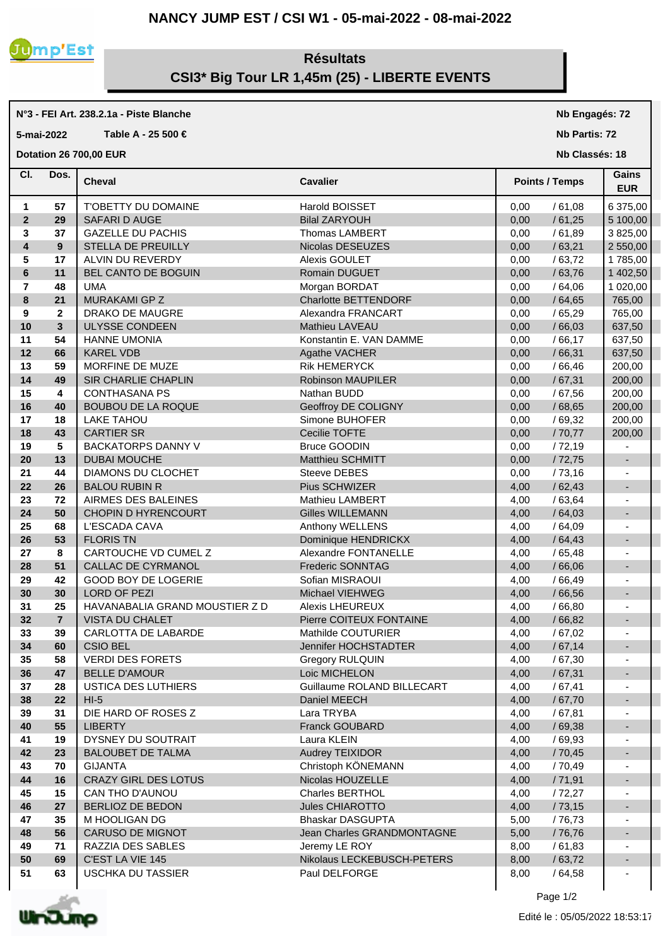## **NANCY JUMP EST / CSI W1 - 05-mai-2022 - 08-mai-2022**



## **Résultats CSI3\* Big Tour LR 1,45m (25) - LIBERTE EVENTS**

## **N°3 - FEI Art. 238.2.1a - Piste Blanche 5-mai-2022 Table A - 25 500 € Dotation 26 700,00 EUR**

| CI.            | Dos.           | <b>Cheval</b>                  | <b>Cavalier</b>            | <b>Points / Temps</b> |         | Gains<br><b>EUR</b>      |
|----------------|----------------|--------------------------------|----------------------------|-----------------------|---------|--------------------------|
| 1              | 57             | T'OBETTY DU DOMAINE            | Harold BOISSET             | 0,00                  | /61,08  | 6 375,00                 |
| $\mathbf{2}$   | 29             | SAFARI D AUGE                  | <b>Bilal ZARYOUH</b>       | 0,00                  | /61,25  | 5 100,00                 |
| 3              | 37             | <b>GAZELLE DU PACHIS</b>       | <b>Thomas LAMBERT</b>      | 0,00                  | /61,89  | 3 825,00                 |
| 4              | 9              | STELLA DE PREUILLY             | Nicolas DESEUZES           | 0,00                  | /63,21  | 2 550,00                 |
| 5              | 17             | ALVIN DU REVERDY               | Alexis GOULET              | 0,00                  | /63,72  | 1785,00                  |
| 6              | 11             | BEL CANTO DE BOGUIN            | Romain DUGUET              | 0,00                  | /63,76  | 1 402,50                 |
| $\overline{7}$ | 48             | <b>UMA</b>                     | Morgan BORDAT              | 0,00                  | /64,06  | 1 020,00                 |
| 8              | 21             | MURAKAMI GP Z                  | Charlotte BETTENDORF       | 0,00                  | /64,65  | 765,00                   |
| 9              | $\mathbf{2}$   | DRAKO DE MAUGRE                | Alexandra FRANCART         | 0,00                  | /65,29  | 765,00                   |
| 10             | $\mathbf{3}$   | <b>ULYSSE CONDEEN</b>          | Mathieu LAVEAU             | 0,00                  | /66,03  | 637,50                   |
| 11             | 54             | <b>HANNE UMONIA</b>            | Konstantin E. VAN DAMME    | 0,00                  | /66,17  | 637,50                   |
| 12             | 66             | <b>KAREL VDB</b>               | Agathe VACHER              | 0,00                  | /66,31  | 637,50                   |
| 13             | 59             | MORFINE DE MUZE                | <b>Rik HEMERYCK</b>        | 0,00                  | /66,46  | 200,00                   |
| 14             | 49             | SIR CHARLIE CHAPLIN            | <b>Robinson MAUPILER</b>   | 0,00                  | /67,31  | 200,00                   |
| 15             | 4              | <b>CONTHASANA PS</b>           | Nathan BUDD                | 0,00                  | /67,56  | 200,00                   |
| 16             | 40             | <b>BOUBOU DE LA ROQUE</b>      | Geoffroy DE COLIGNY        | 0,00                  | / 68,65 | 200,00                   |
| 17             | 18             | <b>LAKE TAHOU</b>              | Simone BUHOFER             | 0,00                  | /69,32  | 200,00                   |
| 18             | 43             | <b>CARTIER SR</b>              | Cecilie TOFTE              | 0,00                  | /70,77  | 200,00                   |
| 19             | 5              | <b>BACKATORPS DANNY V</b>      | <b>Bruce GOODIN</b>        | 0,00                  | /72,19  |                          |
| 20             | 13             | <b>DUBAI MOUCHE</b>            | <b>Matthieu SCHMITT</b>    | 0,00                  | /72,75  | $\overline{\phantom{a}}$ |
| 21             | 44             | DIAMONS DU CLOCHET             | Steeve DEBES               | 0,00                  | /73,16  |                          |
| 22             | 26             | <b>BALOU RUBIN R</b>           | Pius SCHWIZER              | 4,00                  | /62,43  | $\blacksquare$           |
| 23             | 72             | AIRMES DES BALEINES            | <b>Mathieu LAMBERT</b>     | 4,00                  | /63,64  |                          |
| 24             | 50             | <b>CHOPIN D HYRENCOURT</b>     | <b>Gilles WILLEMANN</b>    | 4,00                  | /64,03  | $\blacksquare$           |
| 25             | 68             | L'ESCADA CAVA                  | Anthony WELLENS            | 4,00                  | /64,09  |                          |
| 26             | 53             | <b>FLORIS TN</b>               | Dominique HENDRICKX        | 4,00                  | /64,43  | $\overline{\phantom{a}}$ |
| 27             | 8              | CARTOUCHE VD CUMEL Z           | Alexandre FONTANELLE       | 4,00                  | /65,48  | $\blacksquare$           |
| 28             | 51             | CALLAC DE CYRMANOL             | <b>Frederic SONNTAG</b>    | 4,00                  | /66,06  | $\overline{\phantom{a}}$ |
| 29             | 42             | <b>GOOD BOY DE LOGERIE</b>     | Sofian MISRAOUI            | 4,00                  | /66,49  | $\blacksquare$           |
| 30             | 30             | <b>LORD OF PEZI</b>            | Michael VIEHWEG            | 4,00                  | /66,56  | $\blacksquare$           |
| 31             | 25             | HAVANABALIA GRAND MOUSTIER Z D | <b>Alexis LHEUREUX</b>     | 4,00                  | /66,80  |                          |
| 32             | $\overline{7}$ | <b>VISTA DU CHALET</b>         | Pierre COITEUX FONTAINE    | 4,00                  | /66,82  | $\blacksquare$           |
| 33             | 39             | CARLOTTA DE LABARDE            | Mathilde COUTURIER         | 4,00                  | /67,02  |                          |
| 34             | 60             | <b>CSIO BEL</b>                | Jennifer HOCHSTADTER       | 4,00                  | /67,14  | $\overline{\phantom{a}}$ |
| 35             | 58             | <b>VERDI DES FORETS</b>        | <b>Gregory RULQUIN</b>     | 4,00                  | /67,30  | $\blacksquare$           |
| 36             | 47             | <b>BELLE D'AMOUR</b>           | Loic MICHELON              | 4,00                  | /67,31  |                          |
| 37             | 28             | USTICA DES LUTHIERS            | Guillaume ROLAND BILLECART | 4,00                  | /67,41  |                          |
| 38             | 22             | $HI-5$                         | Daniel MEECH               | 4,00                  | /67,70  | ٠                        |
| 39             | 31             | DIE HARD OF ROSES Z            | Lara TRYBA                 | 4,00                  | /67,81  |                          |
| 40             | 55             | <b>LIBERTY</b>                 | Franck GOUBARD             | 4,00                  | /69,38  |                          |
| 41             | 19             | DYSNEY DU SOUTRAIT             | Laura KLEIN                | 4,00                  | /69,93  |                          |
| 42             | 23             | <b>BALOUBET DE TALMA</b>       | Audrey TEIXIDOR            | 4,00                  | /70,45  |                          |
| 43             | 70             | <b>GIJANTA</b>                 | Christoph KÖNEMANN         | 4,00                  | /70,49  |                          |
| 44             | 16             | <b>CRAZY GIRL DES LOTUS</b>    | Nicolas HOUZELLE           | 4,00                  | /71,91  |                          |
| 45             | 15             | CAN THO D'AUNOU                | Charles BERTHOL            | 4,00                  | /72,27  |                          |
| 46             | 27             | BERLIOZ DE BEDON               | Jules CHIAROTTO            | 4,00                  | /73,15  |                          |
| 47             | 35             | M HOOLIGAN DG                  | Bhaskar DASGUPTA           | 5,00                  | / 76,73 |                          |
| 48             | 56             | CARUSO DE MIGNOT               | Jean Charles GRANDMONTAGNE | 5,00                  | /76,76  |                          |
| 49             | 71             | RAZZIA DES SABLES              | Jeremy LE ROY              | 8,00                  | /61,83  |                          |
| 50             | 69             | C'EST LA VIE 145               | Nikolaus LECKEBUSCH-PETERS | 8,00                  | /63,72  |                          |
| 51             | 63             | <b>USCHKA DU TASSIER</b>       | Paul DELFORGE              | 8,00                  | /64,58  |                          |
|                |                |                                |                            |                       |         |                          |



Page 1/2

**Nb Engagés: 72 Nb Partis: 72 Nb Classés: 18**